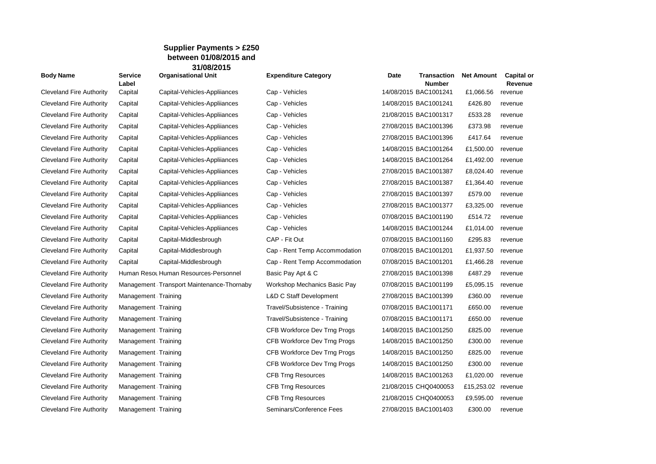## **Supplier Payments > £250 between 01/08/2015 and 31/08/2015**

| <b>Body Name</b>                | Service<br>Label    | <b>Organisational Unit</b>                | <b>Expenditure Category</b>        | Date | <b>Transaction</b><br><b>Number</b> | <b>Net Amount</b>  | <b>Capital or</b><br>Revenue |
|---------------------------------|---------------------|-------------------------------------------|------------------------------------|------|-------------------------------------|--------------------|------------------------------|
| <b>Cleveland Fire Authority</b> | Capital             | Capital-Vehicles-Appliiances              | Cap - Vehicles                     |      | 14/08/2015 BAC1001241               | £1,066.56          | revenue                      |
| <b>Cleveland Fire Authority</b> | Capital             | Capital-Vehicles-Appliiances              | Cap - Vehicles                     |      | 14/08/2015 BAC1001241               | £426.80            | revenue                      |
| <b>Cleveland Fire Authority</b> | Capital             | Capital-Vehicles-Appliiances              | Cap - Vehicles                     |      | 21/08/2015 BAC1001317               | £533.28            | revenue                      |
| <b>Cleveland Fire Authority</b> | Capital             | Capital-Vehicles-Appliiances              | Cap - Vehicles                     |      | 27/08/2015 BAC1001396               | £373.98            | revenue                      |
| <b>Cleveland Fire Authority</b> | Capital             | Capital-Vehicles-Appliiances              | Cap - Vehicles                     |      | 27/08/2015 BAC1001396               | £417.64            | revenue                      |
| <b>Cleveland Fire Authority</b> | Capital             | Capital-Vehicles-Appliiances              | Cap - Vehicles                     |      | 14/08/2015 BAC1001264               | £1,500.00          | revenue                      |
| Cleveland Fire Authority        | Capital             | Capital-Vehicles-Appliiances              | Cap - Vehicles                     |      | 14/08/2015 BAC1001264               | £1,492.00          | revenue                      |
| Cleveland Fire Authority        | Capital             | Capital-Vehicles-Appliiances              | Cap - Vehicles                     |      | 27/08/2015 BAC1001387               | £8,024.40          | revenue                      |
| <b>Cleveland Fire Authority</b> | Capital             | Capital-Vehicles-Appliiances              | Cap - Vehicles                     |      | 27/08/2015 BAC1001387               | £1,364.40          | revenue                      |
| Cleveland Fire Authority        | Capital             | Capital-Vehicles-Appliiances              | Cap - Vehicles                     |      | 27/08/2015 BAC1001397               | £579.00            | revenue                      |
| <b>Cleveland Fire Authority</b> | Capital             | Capital-Vehicles-Appliiances              | Cap - Vehicles                     |      | 27/08/2015 BAC1001377               | £3,325.00          | revenue                      |
| Cleveland Fire Authority        | Capital             | Capital-Vehicles-Appliiances              | Cap - Vehicles                     |      | 07/08/2015 BAC1001190               | £514.72            | revenue                      |
| <b>Cleveland Fire Authority</b> | Capital             | Capital-Vehicles-Appliiances              | Cap - Vehicles                     |      | 14/08/2015 BAC1001244               | £1,014.00          | revenue                      |
| <b>Cleveland Fire Authority</b> | Capital             | Capital-Middlesbrough                     | CAP - Fit Out                      |      | 07/08/2015 BAC1001160               | £295.83            | revenue                      |
| Cleveland Fire Authority        | Capital             | Capital-Middlesbrough                     | Cap - Rent Temp Accommodation      |      | 07/08/2015 BAC1001201               | £1,937.50          | revenue                      |
| <b>Cleveland Fire Authority</b> | Capital             | Capital-Middlesbrough                     | Cap - Rent Temp Accommodation      |      | 07/08/2015 BAC1001201               | £1,466.28          | revenue                      |
| <b>Cleveland Fire Authority</b> |                     | Human Resot Human Resources-Personnel     | Basic Pay Apt & C                  |      | 27/08/2015 BAC1001398               | £487.29            | revenue                      |
| <b>Cleveland Fire Authority</b> |                     | Management Transport Maintenance-Thornaby | Workshop Mechanics Basic Pay       |      | 07/08/2015 BAC1001199               | £5,095.15          | revenue                      |
| <b>Cleveland Fire Authority</b> | Management Training |                                           | <b>L&amp;D C Staff Development</b> |      | 27/08/2015 BAC1001399               | £360.00            | revenue                      |
| Cleveland Fire Authority        | Management Training |                                           | Travel/Subsistence - Training      |      | 07/08/2015 BAC1001171               | £650.00            | revenue                      |
| Cleveland Fire Authority        | Management Training |                                           | Travel/Subsistence - Training      |      | 07/08/2015 BAC1001171               | £650.00            | revenue                      |
| <b>Cleveland Fire Authority</b> | Management Training |                                           | CFB Workforce Dev Trng Progs       |      | 14/08/2015 BAC1001250               | £825.00            | revenue                      |
| Cleveland Fire Authority        | Management Training |                                           | CFB Workforce Dev Trng Progs       |      | 14/08/2015 BAC1001250               | £300.00            | revenue                      |
| <b>Cleveland Fire Authority</b> | Management Training |                                           | CFB Workforce Dev Trng Progs       |      | 14/08/2015 BAC1001250               | £825.00            | revenue                      |
| <b>Cleveland Fire Authority</b> | Management Training |                                           | CFB Workforce Dev Trng Progs       |      | 14/08/2015 BAC1001250               | £300.00            | revenue                      |
| Cleveland Fire Authority        | Management Training |                                           | <b>CFB Trng Resources</b>          |      | 14/08/2015 BAC1001263               | £1,020.00          | revenue                      |
| <b>Cleveland Fire Authority</b> | Management Training |                                           | <b>CFB Trng Resources</b>          |      | 21/08/2015 CHQ0400053               | £15,253.02 revenue |                              |
| Cleveland Fire Authority        | Management Training |                                           | <b>CFB Trng Resources</b>          |      | 21/08/2015 CHQ0400053               | £9,595.00          | revenue                      |
| <b>Cleveland Fire Authority</b> | Management Training |                                           | Seminars/Conference Fees           |      | 27/08/2015 BAC1001403               | £300.00            | revenue                      |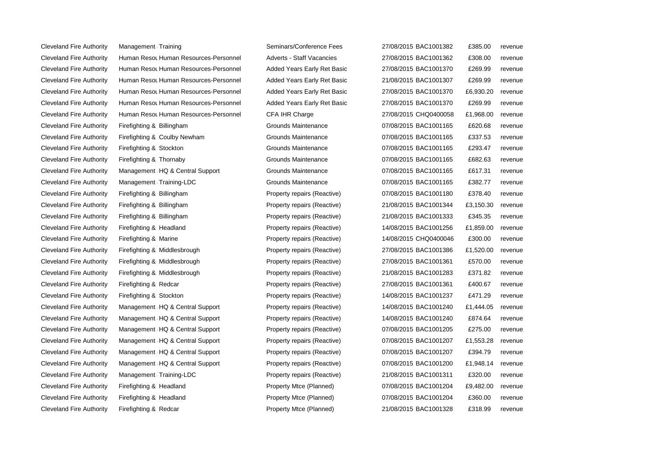Cleveland Fire Authority Management Training Seminars Seminars Cleveland Fire Authority Firefighting & Redcar **Cleveland Property Attack** Property Metal

Cleveland Fire Authority Human Resou Human Resources-Personnel Adver Cleveland Fire Authority Human Resou Human Resources-Personnel Added Added Cleveland Fire Authority Human Resou Human Resources-Personnel Added Added Added Basic 2016 Cleveland Fire Authority Human Resou Human Resources-Personnel Added Cleveland Fire Authority Human Resou Human Resources-Personnel Added Cleveland Fire Authority Human Resou Human Resources-Personnel CFA Cleveland Fire Authority Firefighting & Billingham Grounds Grounds Management Control Cleveland Fire Authority Firefighting & Coulby Newham Grounds Maintenance 07/08/2016 Cleveland Fire Authority Firefighting & Stockton Grounds Management Grounds Management Conductor Grounds and Grounds and Grounds and Grounds and Grounds EQUANDE Cleveland Fire Authority Firefighting & Thornaby Grounds Grounds Maintenance 07/08/2016 Cleveland Fire Authority Management HQ & Central Support Grounds Mariance 07/08/2016 **Grounds** Grounds Annual Support Cleveland Fire Authority Management Training-LDC Grounds Grounds Management Maintenance 07/08/2016 Cleveland Fire Authority Firefighting & Billingham **Property Reaction** Property repairs Reaction BAC100180 **Prope** Cleveland Fire Authority Firefighting & Billingham Property Reaction Backless Repairs Repairs Repairs Repairs Reaction Reaction Reaction Backless Repairs Repairs Repairs (Reactive) 21,150.30 repairs Repairs Repairs Repairs Cleveland Fire Authority Firefighting & Billingham **Property Reaction** Prope Cleveland Fire Authority Firefighting & Headland **Property Reactive Property Reactive** Cleveland Fire Authority Firefighting & Marine **National Action Cleveland Property** Property repairs (Reactive) 2016 Cleveland Fire Authority Firefighting & Middlesbrough **Property Reaction** Prope Cleveland Fire Authority Firefighting & Middlesbrough Property Reaction Property Reaction 27.00 repairs (Reactive) B Cleveland Fire Authority Firefighting & Middlesbrough Property Reaction Property Reaction Middlesbrough BAC100128 Cleveland Fire Authority Firefighting & Redcar **Property Reaction** Property Reaction Property Reaction Reaction R Cleveland Fire Authority Firefighting & Stockton Property Reaction Property Reaction Reaction BAC1001237 E471.20 Cleveland Fire Authority Management HQ & Central Support Property Reactive Reaction and Reactive Reactive Reactive Cleveland Fire Authority Management HQ & Central Support Property Reactive Reaction of Reactive Reactive Reactive Cleveland Fire Authority Management HQ & Central Support Property Reactive Reaction of Reactive Reactive Reactive Cleveland Fire Authority Management HQ & Central Support Property Reactive Reaction of Property Reactive Reactive Cleveland Fire Authority Management HQ & Central Support Property Reactive Reaction Reactive Reactive Reactive Cleveland Fire Authority Management HQ & Central Support Property Reactive Reaction and Reactive Reactive Reactive Cleveland Fire Authority Management Training-LDC Property Property repairs (Reactive) 21/08/2016 Cleveland Fire Authority Firefighting & Headland **Property Acce (Planned)** Prope Cleveland Fire Authority Firefighting & Headland **Property Access** Prope

| nars/Conference Fees    | 27/08/2015 BAC1001382 | £385.00   | revenue |
|-------------------------|-----------------------|-----------|---------|
| rts - Staff Vacancies   | 27/08/2015 BAC1001362 | £308.00   | revenue |
| d Years Early Ret Basic | 27/08/2015 BAC1001370 | £269.99   | revenue |
| d Years Early Ret Basic | 21/08/2015 BAC1001307 | £269.99   | revenue |
| d Years Early Ret Basic | 27/08/2015 BAC1001370 | £6,930.20 | revenue |
| d Years Early Ret Basic | 27/08/2015 BAC1001370 | £269.99   | revenue |
| <b>IHR Charge</b>       | 27/08/2015 CHQ0400058 | £1,968.00 | revenue |
| nds Maintenance         | 07/08/2015 BAC1001165 | £620.68   | revenue |
| nds Maintenance         | 07/08/2015 BAC1001165 | £337.53   | revenue |
| nds Maintenance         | 07/08/2015 BAC1001165 | £293.47   | revenue |
| nds Maintenance         | 07/08/2015 BAC1001165 | £682.63   | revenue |
| nds Maintenance         | 07/08/2015 BAC1001165 | £617.31   | revenue |
| nds Maintenance         | 07/08/2015 BAC1001165 | £382.77   | revenue |
| erty repairs (Reactive) | 07/08/2015 BAC1001180 | £378.40   | revenue |
| erty repairs (Reactive) | 21/08/2015 BAC1001344 | £3,150.30 | revenue |
| erty repairs (Reactive) | 21/08/2015 BAC1001333 | £345.35   | revenue |
| erty repairs (Reactive) | 14/08/2015 BAC1001256 | £1,859.00 | revenue |
| erty repairs (Reactive) | 14/08/2015 CHQ0400046 | £300.00   | revenue |
| erty repairs (Reactive) | 27/08/2015 BAC1001386 | £1,520.00 | revenue |
| erty repairs (Reactive) | 27/08/2015 BAC1001361 | £570.00   | revenue |
| erty repairs (Reactive) | 21/08/2015 BAC1001283 | £371.82   | revenue |
| erty repairs (Reactive) | 27/08/2015 BAC1001361 | £400.67   | revenue |
| erty repairs (Reactive) | 14/08/2015 BAC1001237 | £471.29   | revenue |
| erty repairs (Reactive) | 14/08/2015 BAC1001240 | £1,444.05 | revenue |
| erty repairs (Reactive) | 14/08/2015 BAC1001240 | £874.64   | revenue |
| erty repairs (Reactive) | 07/08/2015 BAC1001205 | £275.00   | revenue |
| erty repairs (Reactive) | 07/08/2015 BAC1001207 | £1,553.28 | revenue |
| erty repairs (Reactive) | 07/08/2015 BAC1001207 | £394.79   | revenue |
| erty repairs (Reactive) | 07/08/2015 BAC1001200 | £1,948.14 | revenue |
| erty repairs (Reactive) | 21/08/2015 BAC1001311 | £320.00   | revenue |
| erty Mtce (Planned)     | 07/08/2015 BAC1001204 | £9,482.00 | revenue |
| erty Mtce (Planned)     | 07/08/2015 BAC1001204 | £360.00   | revenue |
| erty Mtce (Planned)     | 21/08/2015 BAC1001328 | £318.99   | revenue |
|                         |                       |           |         |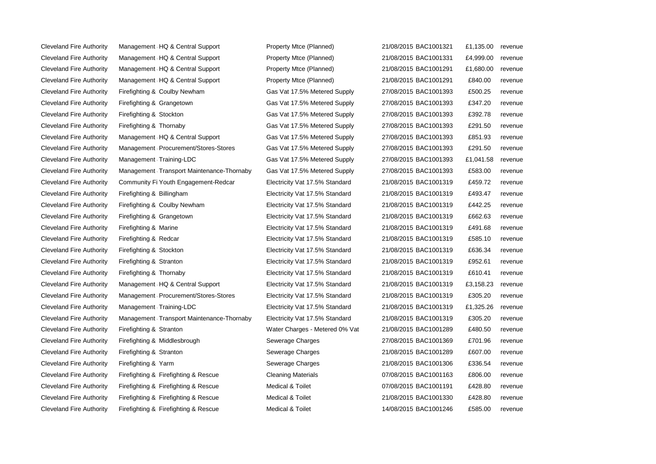| <b>Cleveland Fire Authority</b> | Management HQ & Central Support           | Property Mtce (Planned)        | 21/08/2015 BAC1001321 | £1,135.00 | revenue |
|---------------------------------|-------------------------------------------|--------------------------------|-----------------------|-----------|---------|
| <b>Cleveland Fire Authority</b> | Management HQ & Central Support           | Property Mtce (Planned)        | 21/08/2015 BAC1001331 | £4,999.00 | revenue |
| <b>Cleveland Fire Authority</b> | Management HQ & Central Support           | Property Mtce (Planned)        | 21/08/2015 BAC1001291 | £1,680.00 | revenue |
| <b>Cleveland Fire Authority</b> | Management HQ & Central Support           | Property Mtce (Planned)        | 21/08/2015 BAC1001291 | £840.00   | revenue |
| <b>Cleveland Fire Authority</b> | Firefighting & Coulby Newham              | Gas Vat 17.5% Metered Supply   | 27/08/2015 BAC1001393 | £500.25   | revenue |
| <b>Cleveland Fire Authority</b> | Firefighting & Grangetown                 | Gas Vat 17.5% Metered Supply   | 27/08/2015 BAC1001393 | £347.20   | revenue |
| <b>Cleveland Fire Authority</b> | Firefighting & Stockton                   | Gas Vat 17.5% Metered Supply   | 27/08/2015 BAC1001393 | £392.78   | revenue |
| <b>Cleveland Fire Authority</b> | Firefighting & Thornaby                   | Gas Vat 17.5% Metered Supply   | 27/08/2015 BAC1001393 | £291.50   | revenue |
| <b>Cleveland Fire Authority</b> | Management HQ & Central Support           | Gas Vat 17.5% Metered Supply   | 27/08/2015 BAC1001393 | £851.93   | revenue |
| <b>Cleveland Fire Authority</b> | Management Procurement/Stores-Stores      | Gas Vat 17.5% Metered Supply   | 27/08/2015 BAC1001393 | £291.50   | revenue |
| <b>Cleveland Fire Authority</b> | Management Training-LDC                   | Gas Vat 17.5% Metered Supply   | 27/08/2015 BAC1001393 | £1,041.58 | revenue |
| <b>Cleveland Fire Authority</b> | Management Transport Maintenance-Thornaby | Gas Vat 17.5% Metered Supply   | 27/08/2015 BAC1001393 | £583.00   | revenue |
| <b>Cleveland Fire Authority</b> | Community Fi Youth Engagement-Redcar      | Electricity Vat 17.5% Standard | 21/08/2015 BAC1001319 | £459.72   | revenue |
| <b>Cleveland Fire Authority</b> | Firefighting & Billingham                 | Electricity Vat 17.5% Standard | 21/08/2015 BAC1001319 | £493.47   | revenue |
| <b>Cleveland Fire Authority</b> | Firefighting & Coulby Newham              | Electricity Vat 17.5% Standard | 21/08/2015 BAC1001319 | £442.25   | revenue |
| <b>Cleveland Fire Authority</b> | Firefighting & Grangetown                 | Electricity Vat 17.5% Standard | 21/08/2015 BAC1001319 | £662.63   | revenue |
| <b>Cleveland Fire Authority</b> | Firefighting & Marine                     | Electricity Vat 17.5% Standard | 21/08/2015 BAC1001319 | £491.68   | revenue |
| <b>Cleveland Fire Authority</b> | Firefighting & Redcar                     | Electricity Vat 17.5% Standard | 21/08/2015 BAC1001319 | £585.10   | revenue |
| <b>Cleveland Fire Authority</b> | Firefighting & Stockton                   | Electricity Vat 17.5% Standard | 21/08/2015 BAC1001319 | £636.34   | revenue |
| <b>Cleveland Fire Authority</b> | Firefighting & Stranton                   | Electricity Vat 17.5% Standard | 21/08/2015 BAC1001319 | £952.61   | revenue |
| <b>Cleveland Fire Authority</b> | Firefighting & Thornaby                   | Electricity Vat 17.5% Standard | 21/08/2015 BAC1001319 | £610.41   | revenue |
| <b>Cleveland Fire Authority</b> | Management HQ & Central Support           | Electricity Vat 17.5% Standard | 21/08/2015 BAC1001319 | £3,158.23 | revenue |
| <b>Cleveland Fire Authority</b> | Management Procurement/Stores-Stores      | Electricity Vat 17.5% Standard | 21/08/2015 BAC1001319 | £305.20   | revenue |
| <b>Cleveland Fire Authority</b> | Management Training-LDC                   | Electricity Vat 17.5% Standard | 21/08/2015 BAC1001319 | £1,325.26 | revenue |
| <b>Cleveland Fire Authority</b> | Management Transport Maintenance-Thornaby | Electricity Vat 17.5% Standard | 21/08/2015 BAC1001319 | £305.20   | revenue |
| <b>Cleveland Fire Authority</b> | Firefighting & Stranton                   | Water Charges - Metered 0% Vat | 21/08/2015 BAC1001289 | £480.50   | revenue |
| <b>Cleveland Fire Authority</b> | Firefighting & Middlesbrough              | Sewerage Charges               | 27/08/2015 BAC1001369 | £701.96   | revenue |
| <b>Cleveland Fire Authority</b> | Firefighting & Stranton                   | Sewerage Charges               | 21/08/2015 BAC1001289 | £607.00   | revenue |
| <b>Cleveland Fire Authority</b> | Firefighting & Yarm                       | Sewerage Charges               | 21/08/2015 BAC1001306 | £336.54   | revenue |
| <b>Cleveland Fire Authority</b> | Firefighting & Firefighting & Rescue      | <b>Cleaning Materials</b>      | 07/08/2015 BAC1001163 | £806.00   | revenue |
| <b>Cleveland Fire Authority</b> | Firefighting & Firefighting & Rescue      | <b>Medical &amp; Toilet</b>    | 07/08/2015 BAC1001191 | £428.80   | revenue |
| <b>Cleveland Fire Authority</b> | Firefighting & Firefighting & Rescue      | Medical & Toilet               | 21/08/2015 BAC1001330 | £428.80   | revenue |
| <b>Cleveland Fire Authority</b> | Firefighting & Firefighting & Rescue      | Medical & Toilet               | 14/08/2015 BAC1001246 | £585.00   | revenue |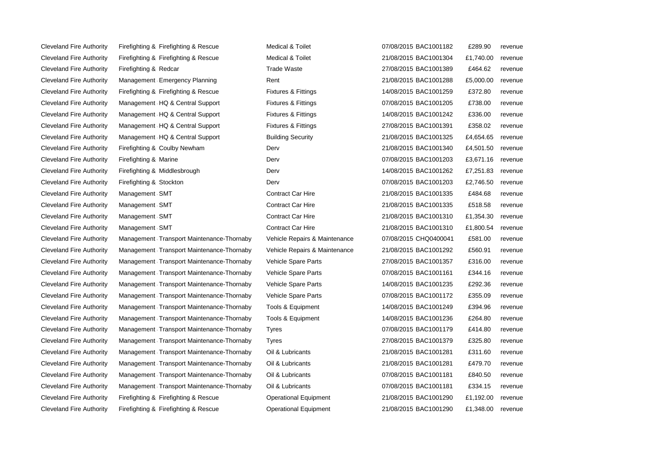Cleveland Fire Authority Firefighting & Firefighting & Rescue Operational Equipment

Cleveland Fire Authority Firefighting & Firefighting & Rescue Medical & Toilet Cleveland Fire Authority Firefighting & Firefighting & Rescue Medical & Toilet Cleveland Fire Authority Firefighting & Redcar **Clean Access** Trade Waste Cleveland Fire Authority Management Emergency Planning Theorem Rent Cleveland Fire Authority Firefighting & Firefighting & Rescue Fixtures & Fittings Cleveland Fire Authority Management HQ & Central Support Fixtures & Fittings Cleveland Fire Authority Management HQ & Central Support Fixtures & Fittings Cleveland Fire Authority Management HQ & Central Support Fixtures & Fittings Cleveland Fire Authority Management HQ & Central Support Building Security Cleveland Fire Authority Firefighting & Coulby Newham Derv Derv Cleveland Fire Authority Firefighting & Marine **Derv 07/08/2016** Derv Cleveland Fire Authority Firefighting & Middlesbrough Derv 14, Derv 14, Derv 14, 2016 Cleveland Fire Authority Firefighting & Stockton Derv Derv Derv Derv 07/08/2016 Cleveland Fire Authority Management SMT Contract Car Hire 21/08/2016 **Contract Car Hire** 21/08 Cleveland Fire Authority Management SMT Contract Car Hire 21/08/2016 **Contract Car Hire** 21/08/2015 **Contract Car Hire** Cleveland Fire Authority Management SMT Contract Car Hire 21, 2016 Cleveland Fire Authority Management SMT Contract Car Hire 21, 2016 Cleveland Fire Authority Management Transport Maintenance-Thornaby Vehicle Repairs & Maintenance Cleveland Fire Authority Management Transport Maintenance-Thornaby Vehicle Repairs & Maintenance Cleveland Fire Authority Management Transport Maintenance-Thornaby Vehicle Spare Parts Cleveland Fire Authority Management Transport Maintenance-Thornaby Vehicle Spare Parts Cleveland Fire Authority Management Transport Maintenance-Thornaby Vehicle Spare Parts Cleveland Fire Authority Management Transport Maintenance-Thornaby Vehicle Spare Parts Cleveland Fire Authority Management Transport Maintenance-Thornaby Tools & Equipment Cleveland Fire Authority Management Transport Maintenance-Thornaby Tools & Equipment Cleveland Fire Authority Management Transport Maintenance-Thornaby Tyres Cleveland Fire Authority Management Transport Maintenance-Thornaby Tyres Cleveland Fire Authority Management Transport Maintenance-Thornaby Oil & Lubricants Cleveland Fire Authority Management Transport Maintenance-Thornaby Oil & Lubricants Cleveland Fire Authority Management Transport Maintenance-Thornaby Oil & Lubricants Cleveland Fire Authority Management Transport Maintenance-Thornaby Oil & Lubricants Cleveland Fire Authority Firefighting & Firefighting & Rescue **Conservational Equipment** 21,192.00 Equipment

|    | 07/08/2015 BAC1001182 | £289.90   | revenue |
|----|-----------------------|-----------|---------|
|    | 21/08/2015 BAC1001304 | £1,740.00 | revenue |
|    | 27/08/2015 BAC1001389 | £464.62   | revenue |
|    | 21/08/2015 BAC1001288 | £5,000.00 | revenue |
|    | 14/08/2015 BAC1001259 | £372.80   | revenue |
|    | 07/08/2015 BAC1001205 | £738.00   | revenue |
|    | 14/08/2015 BAC1001242 | £336.00   | revenue |
|    | 27/08/2015 BAC1001391 | £358.02   | revenue |
|    | 21/08/2015 BAC1001325 | £4,654.65 | revenue |
|    | 21/08/2015 BAC1001340 | £4,501.50 | revenue |
|    | 07/08/2015 BAC1001203 | £3,671.16 | revenue |
|    | 14/08/2015 BAC1001262 | £7,251.83 | revenue |
|    | 07/08/2015 BAC1001203 | £2,746.50 | revenue |
|    | 21/08/2015 BAC1001335 | £484.68   | revenue |
|    | 21/08/2015 BAC1001335 | £518.58   | revenue |
|    | 21/08/2015 BAC1001310 | £1,354.30 | revenue |
|    | 21/08/2015 BAC1001310 | £1,800.54 | revenue |
| ce | 07/08/2015 CHQ0400041 | £581.00   | revenue |
| cе | 21/08/2015 BAC1001292 | £560.91   | revenue |
|    | 27/08/2015 BAC1001357 | £316.00   | revenue |
|    | 07/08/2015 BAC1001161 | £344.16   | revenue |
|    | 14/08/2015 BAC1001235 | £292.36   | revenue |
|    | 07/08/2015 BAC1001172 | £355.09   | revenue |
|    | 14/08/2015 BAC1001249 | £394.96   | revenue |
|    | 14/08/2015 BAC1001236 | £264.80   | revenue |
|    | 07/08/2015 BAC1001179 | £414.80   | revenue |
|    | 27/08/2015 BAC1001379 | £325.80   | revenue |
|    | 21/08/2015 BAC1001281 | £311.60   | revenue |
|    | 21/08/2015 BAC1001281 | £479.70   | revenue |
|    | 07/08/2015 BAC1001181 | £840.50   | revenue |
|    | 07/08/2015 BAC1001181 | £334.15   | revenue |
|    | 21/08/2015 BAC1001290 | £1,192.00 | revenue |
|    | 21/08/2015 BAC1001290 | £1,348.00 | revenue |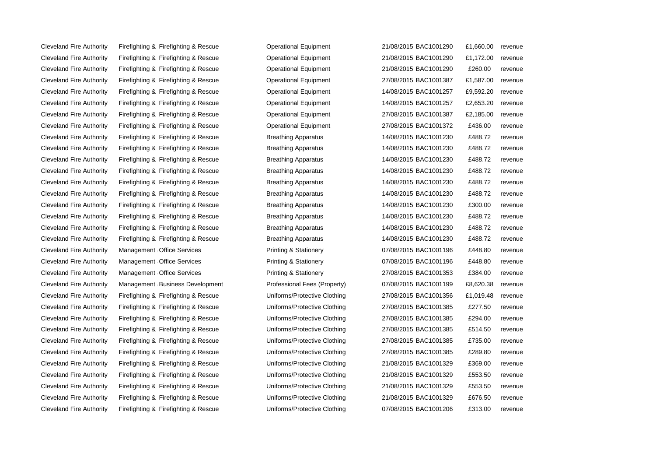Cleveland Fire Authority Firefighting & Firefighting & Rescue **Contained Beach Container Container** 1,660.00 revenue Cleveland Fire Authority Firefighting & Firefighting & Rescue **Operational Equipment** 21/08/2015 BAC1001290 £1,172.00 revenue Cleveland Fire Authority Firefighting & Firefighting & Rescue **Conduct Clean Authority Firefighting & Rescue** Clevenue Conductional Equipment 21/08/2015 BAC1001290 £260.00 revenue Cleveland Fire Authority Firefighting & Firefighting & Rescue **Condument** Doerational Equipment 27/08/2015 BAC1001387 £1,587.00 revenue Cleveland Fire Authority Firefighting & Firefighting & Rescue **Operational Equipment** 14/08/2015 BAC1001257 £9,592.20 revenue Cleveland Fire Authority Firefighting & Firefighting & Rescue **Contained Beatter Container Container** 14/08/2015 BAC1001257 £2,653.20 revenue Cleveland Fire Authority Firefighting & Firefighting & Rescue **Operational Equipment** 27/08/2015 BAC1001387 £2,185.00 revenue Cleveland Fire Authority Firefighting & Firefighting & Rescue **Conduct Clean Authority Cleveland Equipment** 27/08/2015 BAC1001372 £436.00 revenue Cleveland Fire Authority Firefighting & Firefighting & Rescue Breathing Apparatus 14/08/2015 BAC1001230 £488.72 revenue Cleveland Fire Authority Firefighting & Firefighting & Rescue Breathing Apparatus 14/08/2015 BAC1001230 £488.72 revenue Cleveland Fire Authority Firefighting & Firefighting & Rescue Breathing Apparatus 14/08/2015 BAC1001230 £488.72 revenue Cleveland Fire Authority Firefighting & Ricefighting & Rescue Breathing Apparatus 14/08/2015 BAC1001230 £488.72 revenue Cleveland Fire Authority Firefighting & Firefighting & Rescue Breathing Apparatus 14/08/2015 BAC1001230 £488.72 revenue Cleveland Fire Authority Firefighting & Firefighting & Rescue Breathing Apparatus 14/08/2015 BAC1001230 £488.72 revenue Cleveland Fire Authority Firefighting & Firefighting & Rescue Breathing Apparatus 14/08/2015 BAC1001230 £300.00 revenue Cleveland Fire Authority Firefighting & Firefighting & Rescue Breathing Apparatus 14/08/2015 BAC1001230 £488.72 revenue Cleveland Fire Authority Firefighting & Firefighting & Rescue Breathing Apparatus 14/08/2015 BAC1001230 £488.72 revenue Cleveland Fire Authority Firefighting & Firefighting & Rescue Breathing Apparatus 14/08/2015 BAC1001230 £488.72 revenue Cleveland Fire Authority Management Office Services **Component Services** Printing & Stationery **COM** 07/08/2015 BAC1001196 £448.80 revenue Cleveland Fire Authority Management Office Services **Cleveland Stationery** Cleveland Stationery Cleveland Fire Authority Management Office Services **Printing & Stationery** 07/08/2015 BAC1001196 £448.80 revenue Cleveland Fire Authority Management Office Services **Depart Authority** Printing & Stationery 27/08/2015 BAC1001353 £384.00 revenue Cleveland Fire Authority Management Business Development Professional Fees (Property) 07/08/2015 BAC1001199 £8,620.38 revenue Cleveland Fire Authority Firefighting & Firefighting & Rescue Uniforms/Protective Clothing 27/08/2015 BAC1001356 £1,019.48 revenue Cleveland Fire Authority Firefighting & Firefighting & Rescue Uniforms/Protective Clothing 27/08/2015 BAC1001385 £277.50 revenue Cleveland Fire Authority Firefighting & Firefighting & Rescue Uniforms/Protective Clothing 27/08/2015 BAC1001385 £294.00 revenue Cleveland Fire Authority Firefighting & Firefighting & Rescue Uniforms/Protective Clothing 27/08/2015 BAC1001385 £514.50 revenue Cleveland Fire Authority Firefighting & Firefighting & Rescue **Cultima** Protective Clothing 27/08/2015 BAC1001385 £735.00 revenue Cleveland Fire Authority Firefighting & Firefighting & Rescue Uniforms/Protective Clothing 27/08/2015 BAC1001385 £289.80 revenue Cleveland Fire Authority Firefighting & Firefighting & Rescue Uniforms/Protective Clothing 21/08/2015 BAC1001329 £369.00 revenue Cleveland Fire Authority Firefighting & Firefighting & Rescue Uniforms/Protective Clothing 21/08/2015 BAC1001329 £553.50 revenue Cleveland Fire Authority Firefighting & Firefighting & Rescue Uniforms/Protective Clothing 21/08/2015 BAC1001329 £553.50 revenue Cleveland Fire Authority Firefighting & Firefighting & Rescue Uniforms/Protective Clothing 21/08/2015 BAC1001329 £676.50 revenue Cleveland Fire Authority Firefighting & Firefighting & Rescue **Diteration Clothing** 07/08/2015 BAC1001206 £313.00 revenue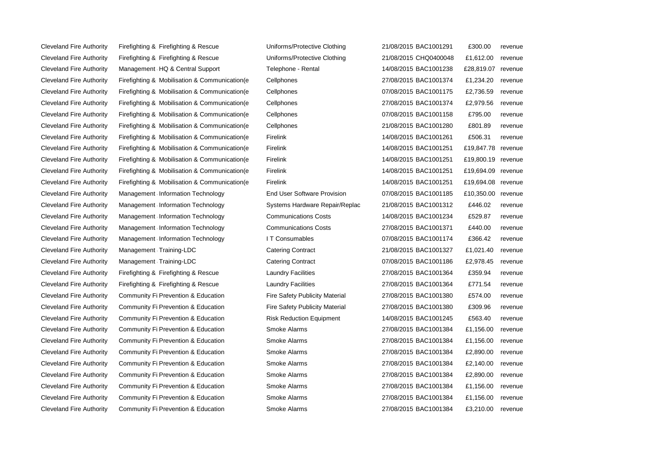Cleveland Fire Authority Firefighting & Firefighting & Rescue Uni Cleveland Fire Authority Firefighting & Firefighting & Rescue Uni Cleveland Fire Authority Management HQ & Central Support Fel Cleveland Fire Authority Firefighting & Mobilisation & Communication e Cel Cleveland Fire Authority Firefighting & Mobilisation & Communication(e Cel Cleveland Fire Authority Firefighting & Mobilisation & Communication(e Cel Cleveland Fire Authority Firefighting & Mobilisation & Communication(e Cel Cleveland Fire Authority Firefighting & Mobilisation & Communication(e Cel Cleveland Fire Authority Firefighting & Mobilisation & Communication (e Fire Cleveland Fire Authority Firefighting & Mobilisation & Communication(e Fire Cleveland Fire Authority Firefighting & Mobilisation & Communication(e Fire Cleveland Fire Authority Firefighting & Mobilisation & Communication e Fire Cleveland Fire Authority Firefighting & Mobilisation & Communication(e Fire Cleveland Fire Authority Management Information Technology End User Cleveland Fire Authority Management Information Technology Systems Hardware Repair Cleveland Fire Authority Management Information Technology Corners Corner Cleveland Fire Authority Management Information Technology Cor Cleveland Fire Authority Management Information Technology I T Cleveland Fire Authority Management Training-LDC Catering Catering Catering Contract 21,021. Cleveland Fire Authority Management Training-LDC Catering Catering Catering Contract 07/08/2016 **Catering Contract 07/08/2016 Caterring Caterring Caterring Caterring Caterring Caterring Caterring Caterring Caterring Cate** Cleveland Fire Authority Firefighting & Firefighting & Rescue Laundre Facilities 2016 Cleveland Fire Authority Firefighting & Firefighting & Rescue Laundry Facilities 2016 Cleveland Fire Authority Community Fi Prevention & Education Fire Cleveland Fire Authority Community Fi Prevention & Education Fire Cleveland Fire Authority Community Fi Prevention & Education **Risk Reduction** Ris Cleveland Fire Authority Community Fi Prevention & Education Smoke Alarms 2016 Cleveland Fire Authority Community Fi Prevention & Education Smoke Alarms 2016 Cleveland Fire Authority Community Fi Prevention & Education Smoke Alarms 2016 Cleveland Fire Authority Community Fi Prevention & Education Smoke Alarms 2016 Cleveland Fire Authority Community Fi Prevention & Education Smoke Alarms 2016 Cleveland Fire Authority Community Fi Prevention & Education Smoke Alarms 27 Cleveland Fire Authority Community Fi Prevention & Education Smoke Alarms 2016 Cleveland Fire Authority Community Fi Prevention & Education Smoke Alarms 2016

| iforms/Protective Clothing   | 21/08/2015 BAC1001291 | £300.00    | revenue |
|------------------------------|-----------------------|------------|---------|
| iforms/Protective Clothing   | 21/08/2015 CHQ0400048 | £1,612.00  | revenue |
| lephone - Rental             | 14/08/2015 BAC1001238 | £28,819.07 | revenue |
| llphones                     | 27/08/2015 BAC1001374 | £1,234.20  | revenue |
| llphones                     | 07/08/2015 BAC1001175 | £2,736.59  | revenue |
| llphones                     | 27/08/2015 BAC1001374 | £2,979.56  | revenue |
| llphones                     | 07/08/2015 BAC1001158 | £795.00    | revenue |
| llphones                     | 21/08/2015 BAC1001280 | £801.89    | revenue |
| elink                        | 14/08/2015 BAC1001261 | £506.31    | revenue |
| elink                        | 14/08/2015 BAC1001251 | £19,847.78 | revenue |
| elink                        | 14/08/2015 BAC1001251 | £19,800.19 | revenue |
| elink                        | 14/08/2015 BAC1001251 | £19,694.09 | revenue |
| elink                        | 14/08/2015 BAC1001251 | £19,694.08 | revenue |
| d User Software Provision    | 07/08/2015 BAC1001185 | £10,350.00 | revenue |
| stems Hardware Repair/Replac | 21/08/2015 BAC1001312 | £446.02    | revenue |
| mmunications Costs           | 14/08/2015 BAC1001234 | £529.87    | revenue |
| mmunications Costs           | 27/08/2015 BAC1001371 | £440.00    | revenue |
| Consumables                  | 07/08/2015 BAC1001174 | £366.42    | revenue |
| tering Contract              | 21/08/2015 BAC1001327 | £1,021.40  | revenue |
| tering Contract              | 07/08/2015 BAC1001186 | £2,978.45  | revenue |
| undry Facilities             | 27/08/2015 BAC1001364 | £359.94    | revenue |
| undry Facilities             | 27/08/2015 BAC1001364 | £771.54    | revenue |
| e Safety Publicity Material  | 27/08/2015 BAC1001380 | £574.00    | revenue |
| e Safety Publicity Material  | 27/08/2015 BAC1001380 | £309.96    | revenue |
| k Reduction Equipment        | 14/08/2015 BAC1001245 | £563.40    | revenue |
| ıoke Alarms                  | 27/08/2015 BAC1001384 | £1,156.00  | revenue |
| <b>ioke Alarms</b>           | 27/08/2015 BAC1001384 | £1,156.00  | revenue |
| <b>ioke Alarms</b>           | 27/08/2015 BAC1001384 | £2,890.00  | revenue |
| oke Alarms                   | 27/08/2015 BAC1001384 | £2,140.00  | revenue |
| <b>oke Alarms</b>            | 27/08/2015 BAC1001384 | £2,890.00  | revenue |
| <b>oke Alarms</b>            | 27/08/2015 BAC1001384 | £1,156.00  | revenue |
| ıoke Alarms                  | 27/08/2015 BAC1001384 | £1,156.00  | revenue |
| ıoke Alarms                  | 27/08/2015 BAC1001384 | £3,210.00  | revenue |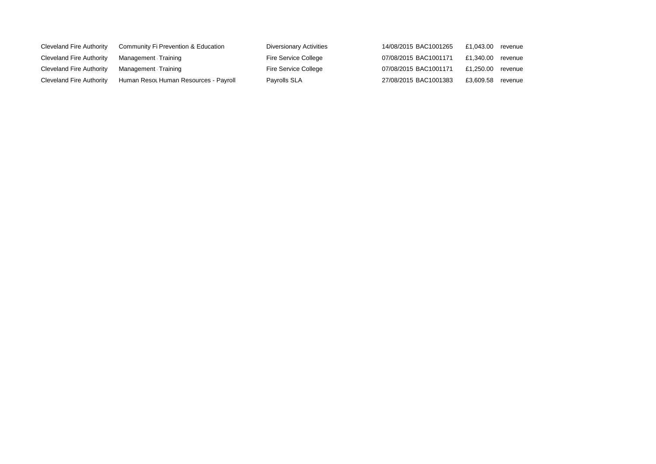| Cleveland Fire Authority | Community Fi Prevention & Education   | Diversionary Activities | 14/08/2015 BAC1001265 | £1.043.00 revenue |  |
|--------------------------|---------------------------------------|-------------------------|-----------------------|-------------------|--|
| Cleveland Fire Authority | Management Training                   | Fire Service College    | 07/08/2015 BAC1001171 | £1.340.00 revenue |  |
| Cleveland Fire Authority | Management Training                   | Fire Service College    | 07/08/2015 BAC1001171 | £1.250.00 revenue |  |
| Cleveland Fire Authority | Human Resot Human Resources - Payroll | Payrolls SLA            | 27/08/2015 BAC1001383 | £3.609.58 revenue |  |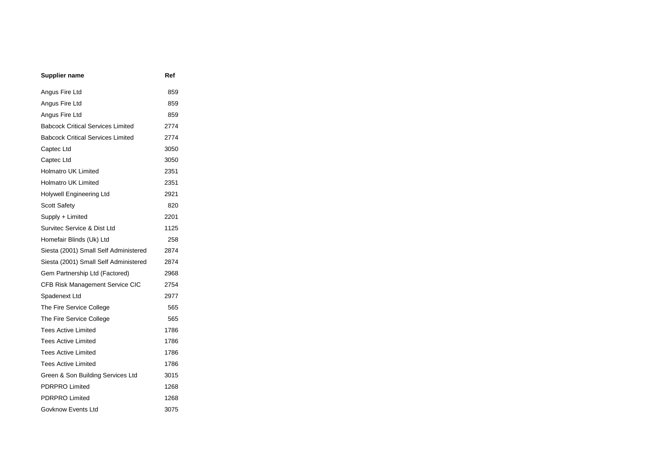| <b>Supplier name</b>                     | Ref  |
|------------------------------------------|------|
| Angus Fire Ltd                           | 859  |
| Angus Fire Ltd                           | 859  |
| Angus Fire Ltd                           | 859  |
| <b>Babcock Critical Services Limited</b> | 2774 |
| <b>Babcock Critical Services Limited</b> | 2774 |
| Captec Ltd                               | 3050 |
| Captec Ltd                               | 3050 |
| <b>Holmatro UK Limited</b>               | 2351 |
| <b>Holmatro UK Limited</b>               | 2351 |
| <b>Holywell Engineering Ltd</b>          | 2921 |
| <b>Scott Safety</b>                      | 820  |
| Supply + Limited                         | 2201 |
| Survitec Service & Dist Ltd              | 1125 |
| Homefair Blinds (Uk) Ltd                 | 258  |
| Siesta (2001) Small Self Administered    | 2874 |
| Siesta (2001) Small Self Administered    | 2874 |
| Gem Partnership Ltd (Factored)           | 2968 |
| CFB Risk Management Service CIC          | 2754 |
| Spadenext Ltd                            | 2977 |
| The Fire Service College                 | 565  |
| The Fire Service College                 | 565  |
| <b>Tees Active Limited</b>               | 1786 |
| <b>Tees Active Limited</b>               | 1786 |
| <b>Tees Active Limited</b>               | 1786 |
| <b>Tees Active Limited</b>               | 1786 |
| Green & Son Building Services Ltd        | 3015 |
| PDRPRO Limited                           | 1268 |
| <b>PDRPRO Limited</b>                    | 1268 |
| Govknow Events Ltd                       | 3075 |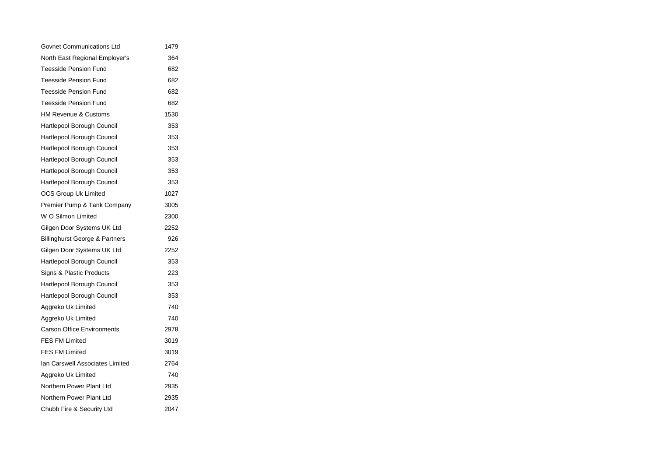| Govnet Communications Ltd                 | 1479 |  |
|-------------------------------------------|------|--|
| North East Regional Employer's            | 364  |  |
| <b>Teesside Pension Fund</b>              | 682  |  |
| <b>Teesside Pension Fund</b>              | 682  |  |
| <b>Teesside Pension Fund</b>              | 682  |  |
| <b>Teesside Pension Fund</b>              | 682  |  |
| <b>HM Revenue &amp; Customs</b>           | 1530 |  |
| Hartlepool Borough Council                | 353  |  |
| Hartlepool Borough Council                | 353  |  |
| Hartlepool Borough Council                | 353  |  |
| Hartlepool Borough Council                | 353  |  |
| Hartlepool Borough Council                | 353  |  |
| Hartlepool Borough Council                | 353  |  |
| <b>OCS Group Uk Limited</b>               | 1027 |  |
| Premier Pump & Tank Company               | 3005 |  |
| W O Silmon Limited                        | 2300 |  |
| Gilgen Door Systems UK Ltd                | 2252 |  |
| <b>Billinghurst George &amp; Partners</b> | 926  |  |
| Gilgen Door Systems UK Ltd                | 2252 |  |
| Hartlepool Borough Council                | 353  |  |
| Signs & Plastic Products                  | 223  |  |
| Hartlepool Borough Council                | 353  |  |
| Hartlepool Borough Council                | 353  |  |
| Aggreko Uk Limited                        | 740  |  |
| Aggreko Uk Limited                        | 740  |  |
| <b>Carson Office Environments</b>         | 2978 |  |
| <b>FES FM Limited</b>                     | 3019 |  |
| <b>FES FM Limited</b>                     | 3019 |  |
| Ian Carswell Associates Limited           | 2764 |  |
| Aggreko Uk Limited                        | 740  |  |
| Northern Power Plant Ltd                  | 2935 |  |
| Northern Power Plant Ltd                  | 2935 |  |
| Chubb Fire & Security Ltd                 | 2047 |  |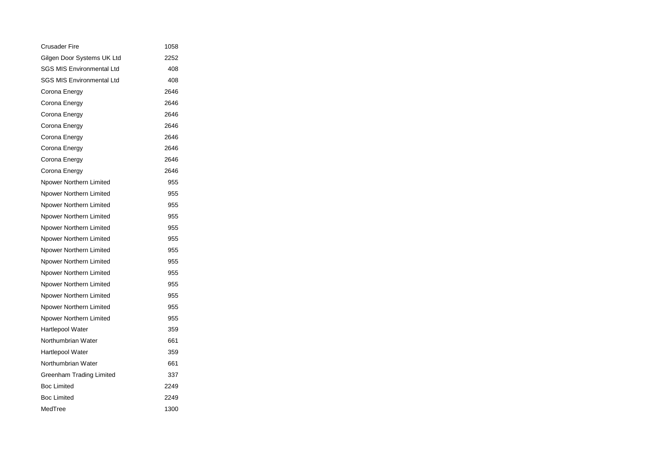| <b>Crusader Fire</b>             | 1058 |  |
|----------------------------------|------|--|
| Gilgen Door Systems UK Ltd       | 2252 |  |
| <b>SGS MIS Environmental Ltd</b> | 408  |  |
| <b>SGS MIS Environmental Ltd</b> | 408  |  |
| Corona Energy                    | 2646 |  |
| Corona Energy                    | 2646 |  |
| Corona Energy                    | 2646 |  |
| Corona Energy                    | 2646 |  |
| Corona Energy                    | 2646 |  |
| Corona Energy                    | 2646 |  |
| Corona Energy                    | 2646 |  |
| Corona Energy                    | 2646 |  |
| Npower Northern Limited          | 955  |  |
| Npower Northern Limited          | 955  |  |
| Npower Northern Limited          | 955  |  |
| Npower Northern Limited          | 955  |  |
| Npower Northern Limited          | 955  |  |
| Npower Northern Limited          | 955  |  |
| Npower Northern Limited          | 955  |  |
| Npower Northern Limited          | 955  |  |
| Npower Northern Limited          | 955  |  |
| Npower Northern Limited          | 955  |  |
| Npower Northern Limited          | 955  |  |
| Npower Northern Limited          | 955  |  |
| Npower Northern Limited          | 955  |  |
| Hartlepool Water                 | 359  |  |
| Northumbrian Water               | 661  |  |
| Hartlepool Water                 | 359  |  |
| Northumbrian Water               | 661  |  |
| <b>Greenham Trading Limited</b>  | 337  |  |
| <b>Boc Limited</b>               | 2249 |  |
| <b>Boc Limited</b>               | 2249 |  |
| MedTree                          | 1300 |  |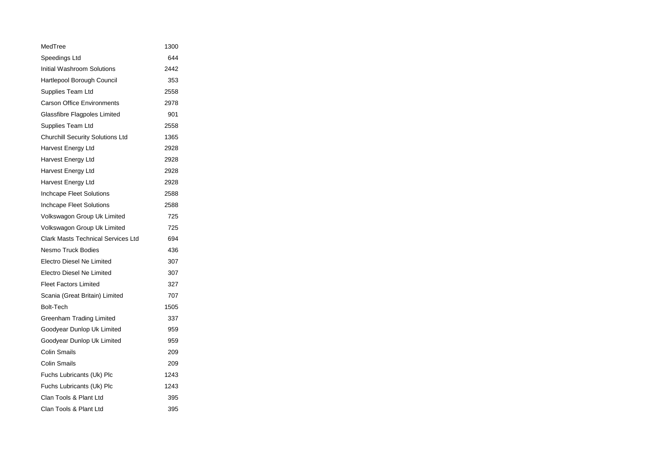| MedTree                                   | 1300 |  |
|-------------------------------------------|------|--|
| Speedings Ltd                             | 644  |  |
| Initial Washroom Solutions                | 2442 |  |
| Hartlepool Borough Council                | 353  |  |
| Supplies Team Ltd                         | 2558 |  |
| <b>Carson Office Environments</b>         | 2978 |  |
| Glassfibre Flagpoles Limited              | 901  |  |
| Supplies Team Ltd                         | 2558 |  |
| <b>Churchill Security Solutions Ltd</b>   | 1365 |  |
| Harvest Energy Ltd                        | 2928 |  |
| Harvest Energy Ltd                        | 2928 |  |
| Harvest Energy Ltd                        | 2928 |  |
| Harvest Energy Ltd                        | 2928 |  |
| Inchcape Fleet Solutions                  | 2588 |  |
| Inchcape Fleet Solutions                  | 2588 |  |
| Volkswagon Group Uk Limited               | 725  |  |
| Volkswagon Group Uk Limited               | 725  |  |
| <b>Clark Masts Technical Services Ltd</b> | 694  |  |
| <b>Nesmo Truck Bodies</b>                 | 436  |  |
| <b>Electro Diesel Ne Limited</b>          | 307  |  |
| Electro Diesel Ne Limited                 | 307  |  |
| <b>Fleet Factors Limited</b>              | 327  |  |
| Scania (Great Britain) Limited            | 707  |  |
| <b>Bolt-Tech</b>                          | 1505 |  |
| Greenham Trading Limited                  | 337  |  |
| Goodyear Dunlop Uk Limited                | 959  |  |
| Goodyear Dunlop Uk Limited                | 959  |  |
| <b>Colin Smails</b>                       | 209  |  |
| <b>Colin Smails</b>                       | 209  |  |
| Fuchs Lubricants (Uk) Plc                 | 1243 |  |
| Fuchs Lubricants (Uk) Plc                 | 1243 |  |
| Clan Tools & Plant Ltd                    | 395  |  |
| Clan Tools & Plant Ltd                    | 395  |  |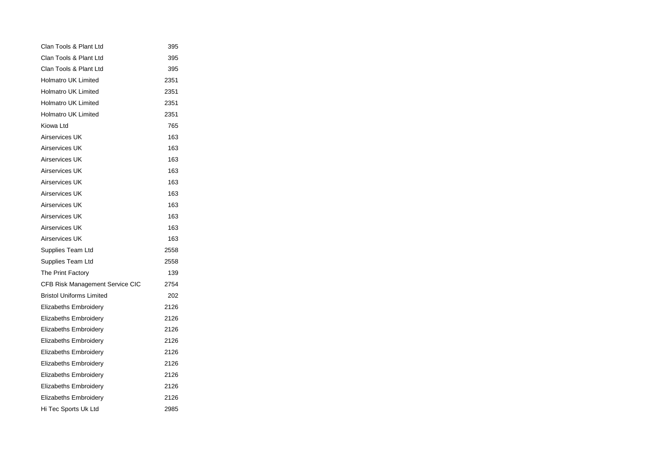| Clan Tools & Plant Ltd                 | 395  |
|----------------------------------------|------|
| Clan Tools & Plant Ltd                 | 395  |
| Clan Tools & Plant Ltd                 | 395  |
| <b>Holmatro UK Limited</b>             | 2351 |
| <b>Holmatro UK Limited</b>             | 2351 |
| <b>Holmatro UK Limited</b>             | 2351 |
| <b>Holmatro UK Limited</b>             | 2351 |
| Kiowa Ltd                              | 765  |
| Airservices UK                         | 163  |
| Airservices UK                         | 163  |
| Airservices UK                         | 163  |
| Airservices UK                         | 163  |
| Airservices UK                         | 163  |
| Airservices UK                         | 163  |
| Airservices UK                         | 163  |
| Airservices UK                         | 163  |
| Airservices UK                         | 163  |
| Airservices UK                         | 163  |
| Supplies Team Ltd                      | 2558 |
| Supplies Team Ltd                      | 2558 |
| The Print Factory                      | 139  |
| <b>CFB Risk Management Service CIC</b> | 2754 |
| <b>Bristol Uniforms Limited</b>        | 202  |
| <b>Elizabeths Embroidery</b>           | 2126 |
| <b>Elizabeths Embroidery</b>           | 2126 |
| <b>Elizabeths Embroidery</b>           | 2126 |
| <b>Elizabeths Embroidery</b>           | 2126 |
| <b>Elizabeths Embroidery</b>           | 2126 |
| Elizabeths Embroidery                  | 2126 |
| <b>Elizabeths Embroidery</b>           | 2126 |
| <b>Elizabeths Embroidery</b>           | 2126 |
| <b>Elizabeths Embroidery</b>           | 2126 |
| Hi Tec Sports Uk Ltd                   | 2985 |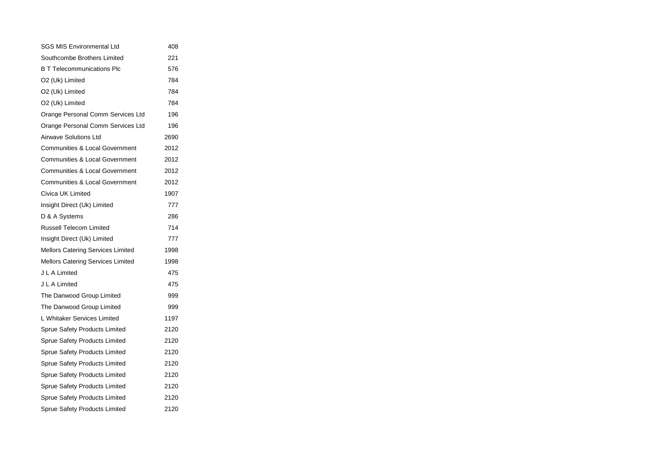| <b>SGS MIS Environmental Ltd</b>          | 408  |
|-------------------------------------------|------|
| Southcombe Brothers Limited               | 221  |
| <b>B T Telecommunications Plc</b>         | 576  |
| O2 (Uk) Limited                           | 784  |
| O2 (Uk) Limited                           | 784  |
| O2 (Uk) Limited                           | 784  |
| Orange Personal Comm Services Ltd         | 196  |
| Orange Personal Comm Services Ltd         | 196  |
| <b>Airwave Solutions Ltd</b>              | 2690 |
| <b>Communities &amp; Local Government</b> | 2012 |
| <b>Communities &amp; Local Government</b> | 2012 |
| <b>Communities &amp; Local Government</b> | 2012 |
| <b>Communities &amp; Local Government</b> | 2012 |
| Civica UK Limited                         | 1907 |
| Insight Direct (Uk) Limited               | 777  |
| D & A Systems                             | 286  |
| <b>Russell Telecom Limited</b>            | 714  |
| Insight Direct (Uk) Limited               | 777  |
| Mellors Catering Services Limited         | 1998 |
| Mellors Catering Services Limited         | 1998 |
| J L A Limited                             | 475  |
| J L A Limited                             | 475  |
| The Danwood Group Limited                 | 999  |
| The Danwood Group Limited                 | 999  |
| L Whitaker Services Limited               | 1197 |
| <b>Sprue Safety Products Limited</b>      | 2120 |
| <b>Sprue Safety Products Limited</b>      | 2120 |
| <b>Sprue Safety Products Limited</b>      | 2120 |
| <b>Sprue Safety Products Limited</b>      | 2120 |
| <b>Sprue Safety Products Limited</b>      | 2120 |
| <b>Sprue Safety Products Limited</b>      | 2120 |
| <b>Sprue Safety Products Limited</b>      | 2120 |
| Sprue Safety Products Limited             | 2120 |